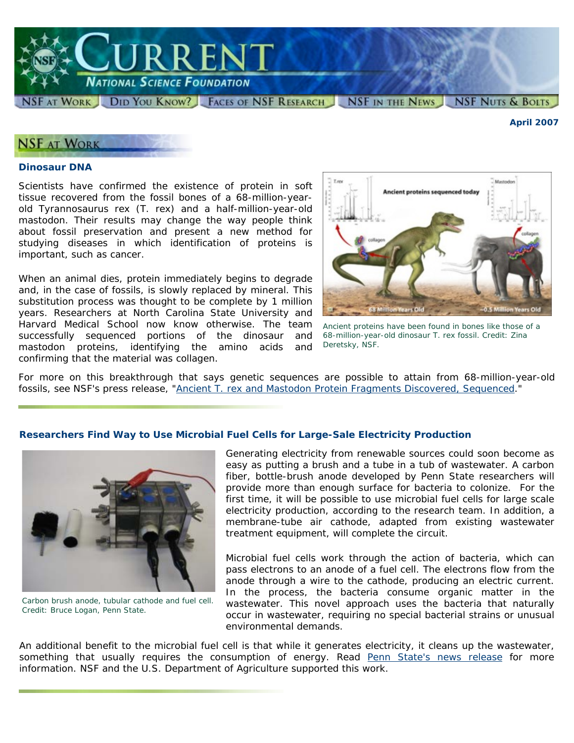

*April 2007* 

## **NSF AT WORK**

#### **Dinosaur DNA**

Scientists have confirmed the existence of protein in soft tissue recovered from the fossil bones of a 68-million-yearold *Tyrannosaurus rex* (*T. rex*) and a half-million-year-old mastodon. Their results may change the way people think about fossil preservation and present a new method for studying diseases in which identification of proteins is important, such as cancer.

When an animal dies, protein immediately begins to degrade and, in the case of fossils, is slowly replaced by mineral. This substitution process was thought to be complete by 1 million years. Researchers at North Carolina State University and Harvard Medical School now know otherwise. The team successfully sequenced portions of the dinosaur and mastodon proteins, identifying the amino acids and confirming that the material was collagen.



*Ancient proteins have been found in bones like those of a 68-million-year-old dinosaur* T. rex *fossil. Credit: Zina Deretsky, NSF.* 

For more on this breakthrough that says genetic sequences are possible to attain from 68-million-year-old fossils, see NSF's press release, "Ancient *T. rex* [and Mastodon Protein Fragments Discovered, Sequenced.](http://www.nsf.gov/news/news_summ.jsp?cntn_id=108607)"

#### **Researchers Find Way to Use Microbial Fuel Cells for Large-Sale Electricity Production**



*Carbon brush anode, tubular cathode and fuel cell. Credit: Bruce Logan, Penn State.* 

Generating electricity from renewable sources could soon become as easy as putting a brush and a tube in a tub of wastewater. A carbon fiber, bottle-brush anode developed by Penn State researchers will provide more than enough surface for bacteria to colonize. For the first time, it will be possible to use microbial fuel cells for large scale electricity production, according to the research team. In addition, a membrane-tube air cathode, adapted from existing wastewater treatment equipment, will complete the circuit.

Microbial fuel cells work through the action of bacteria, which can pass electrons to an anode of a fuel cell. The electrons flow from the anode through a wire to the cathode, producing an electric current. In the process, the bacteria consume organic matter in the wastewater. This novel approach uses the bacteria that naturally occur in wastewater, requiring no special bacterial strains or unusual environmental demands.

An additional benefit to the microbial fuel cell is that while it generates electricity, it cleans up the wastewater, something that usually requires the consumption of energy. Read [Penn State's news release](http://live.psu.edu/index.php?sec=vs_highlight&story=23030&highlight=1) for more information. NSF and the U.S. Department of Agriculture supported this work.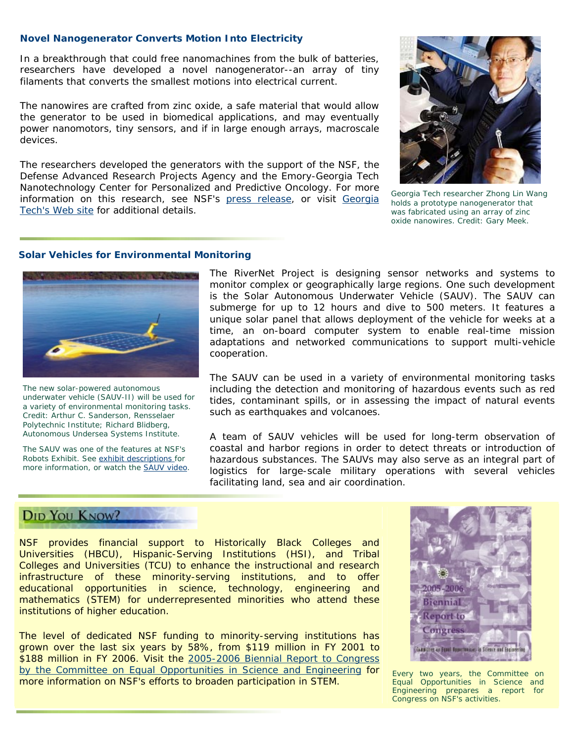#### **Novel Nanogenerator Converts Motion Into Electricity**

In a breakthrough that could free nanomachines from the bulk of batteries, researchers have developed a novel nanogenerator--an array of tiny filaments that converts the smallest motions into electrical current.

The nanowires are crafted from zinc oxide, a safe material that would allow the generator to be used in biomedical applications, and may eventually power nanomotors, tiny sensors, and if in large enough arrays, macroscale devices.

The researchers developed the generators with the support of the NSF, the Defense Advanced Research Projects Agency and the Emory-Georgia Tech Nanotechnology Center for Personalized and Predictive Oncology. For more information on this research, see NSF's <u>press release</u>, or visit [Georgia](http://www.gatech.edu/news-room/release.php?id=1326) *Lech researcher Zhong Lin Wang* in Technisian and *Secrgia Tech researcher Zhong Lin Wang* [Tech's Web site](http://www.gatech.edu/news-room/release.php?id=1326) for additional details.



*holds a prototype nanogenerator that was fabricated using an array of zinc oxide nanowires. Credit: Gary Meek.* 

#### **Solar Vehicles for Environmental Monitoring**



*The new solar-powered autonomous underwater vehicle (SAUV-II) will be used for a variety of environmental monitoring tasks. Credit: Arthur C. Sanderson, Rensselaer Polytechnic Institute; Richard Blidberg,* 

The SAUV was one of the features at NSF's Robots Exhibit. See [exhibit descriptions](http://www.nsf.gov/news/newsmedia/robotics05/exhibitors.jsp) for more information, or watch the [SAUV video.](http://www.nsf.gov/news/mmg/mmg_disp.cfm?med_id=55841) The RiverNet Project is designing sensor networks and systems to monitor complex or geographically large regions. One such development is the Solar Autonomous Underwater Vehicle (SAUV). The SAUV can submerge for up to 12 hours and dive to 500 meters. It features a unique solar panel that allows deployment of the vehicle for weeks at a time, an on-board computer system to enable real-time mission adaptations and networked communications to support multi-vehicle cooperation.

The SAUV can be used in a variety of environmental monitoring tasks including the detection and monitoring of hazardous events such as red tides, contaminant spills, or in assessing the impact of natural events such as earthquakes and volcanoes.

*Autonomous Undersea Systems Institute.* A team of SAUV vehicles will be used for long-term observation of coastal and harbor regions in order to detect threats or introduction of hazardous substances. The SAUVs may also serve as an integral part of logistics for large-scale military operations with several vehicles facilitating land, sea and air coordination.

### DID YOU KNOW?

NSF provides financial support to Historically Black Colleges and Universities (HBCU), Hispanic-Serving Institutions (HSI), and Tribal Colleges and Universities (TCU) to enhance the instructional and research infrastructure of these minority-serving institutions, and to offer educational opportunities in science, technology, engineering and mathematics (STEM) for underrepresented minorities who attend these institutions of higher education.

The level of dedicated NSF funding to minority-serving institutions has grown over the last six years by 58%, from \$119 million in FY 2001 to \$188 million in FY 2006. Visit the [2005-2006 Biennial Report to Congress](http://www.nsf.gov/pubs/reports/2006_biennial_report.pdf)  [by the Committee on Equal Opportunities in Science and Engineering](http://www.nsf.gov/pubs/reports/2006_biennial_report.pdf) for *Every two years, the Committee on*  more information on NSF's efforts to broaden participation in STEM.



*Engineering prepares a report for Congress on NSF's activities.*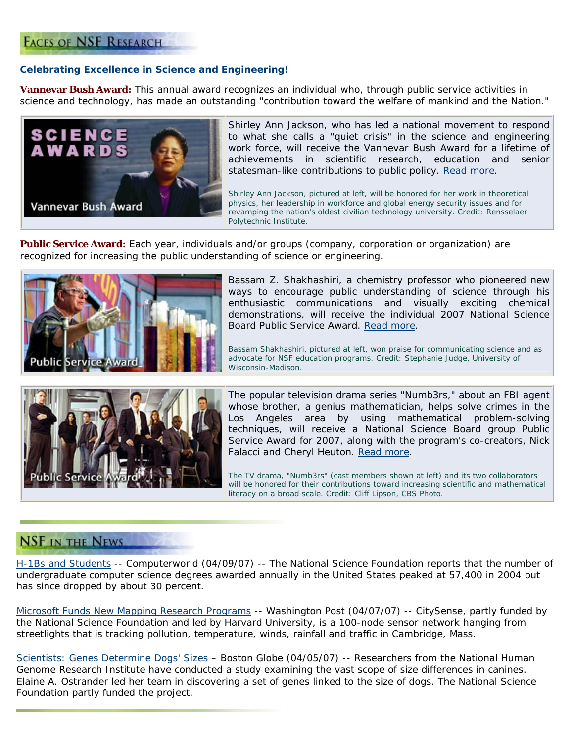## **FACES OF NSF RESEARCH**

### **Celebrating Excellence in Science and Engineering!**

**Vannevar Bush Award:** This annual award recognizes an individual who, through public service activities in science and technology, has made an outstanding "contribution toward the welfare of mankind and the Nation."



Shirley Ann Jackson, who has led a national movement to respond to what she calls a "quiet crisis" in the science and engineering work force, will receive the Vannevar Bush Award for a lifetime of achievements in scientific research, education and senior statesman-like contributions to public policy. [Read more.](http://www.nsf.gov/news/news_summ.jsp?cntn_id=108494)

*Shirley Ann Jackson, pictured at left, will be honored for her work in theoretical physics, her leadership in workforce and global energy security issues and for revamping the nation's oldest civilian technology university. Credit: Rensselaer Polytechnic Institute.* 

**Public Service Award:** Each year, individuals and/or groups (company, corporation or organization) are recognized for increasing the public understanding of science or engineering.



Bassam Z. Shakhashiri, a chemistry professor who pioneered new ways to encourage public understanding of science through his enthusiastic communications and visually exciting chemical demonstrations, will receive the individual 2007 National Science Board Public Service Award. [Read more](http://www.nsf.gov/news/news_summ.jsp?cntn_id=108703).

*Bassam Shakhashiri, pictured at left, won praise for communicating science and as advocate for NSF education programs. Credit: Stephanie Judge, University of Wisconsin-Madison.* 



The popular television drama series "Numb3rs," about an FBI agent whose brother, a genius mathematician, helps solve crimes in the Los Angeles area by using mathematical problem-solving techniques, will receive a National Science Board group Public Service Award for 2007, along with the program's co-creators, Nick Falacci and Cheryl Heuton. [Read more.](http://www.nsf.gov/news/news_summ.jsp?cntn_id=108701)

*The TV drama, "Numb3rs" (cast members shown at left) and its two collaborators*  will be honored for their contributions toward increasing scientific and mathematical *literacy on a broad scale. Credit: Cliff Lipson, CBS Photo.* 

## **NSF IN THE NEWS**

[H-1Bs and Students](http://computerworld.com/action/article.do?command=viewArticleBasic&articleId=288277) -- *Computerworld (04/09/07)* -- The National Science Foundation reports that the number of undergraduate computer science degrees awarded annually in the United States peaked at 57,400 in 2004 but has since dropped by about 30 percent.

[Microsoft Funds New Mapping Research Programs](http://www.washingtonpost.com/wp-dyn/content/article/2007/04/08/AR2007040800019.html) -- *Washington Post (04/07/07)* -- CitySense, partly funded by the National Science Foundation and led by Harvard University, is a 100-node sensor network hanging from streetlights that is tracking pollution, temperature, winds, rainfall and traffic in Cambridge, Mass.

[Scientists: Genes Determine Dogs' Sizes](http://www.boston.com/news/science/articles/2007/04/05/scientists_genes_determine_dogs_sizes/) – *Boston Globe (04/05/07)* -- Researchers from the National Human Genome Research Institute have conducted a study examining the vast scope of size differences in canines. Elaine A. Ostrander led her team in discovering a set of genes linked to the size of dogs. The National Science Foundation partly funded the project.